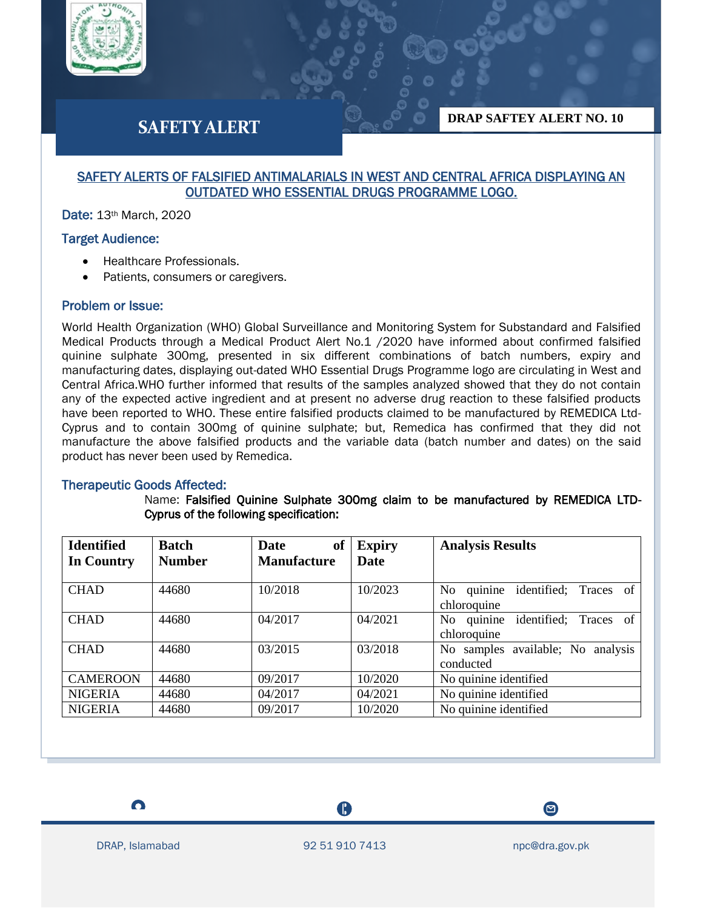

# **SAFETY ALERT**

**DRAP SAFTEY ALERT NO. 10**

# SAFETY ALERTS OF FALSIFIED ANTIMALARIALS IN WEST AND CENTRAL AFRICA DISPLAYING AN OUTDATED WHO ESSENTIAL DRUGS PROGRAMME LOGO.

Date: 13th March, 2020

# Target Audience:

- Healthcare Professionals.
- Patients, consumers or caregivers.

### Problem or Issue:

World Health Organization (WHO) Global Surveillance and Monitoring System for Substandard and Falsified Medical Products through a Medical Product Alert No.1 /2020 have informed about confirmed falsified quinine sulphate 300mg, presented in six different combinations of batch numbers, expiry and manufacturing dates, displaying out-dated WHO Essential Drugs Programme logo are circulating in West and Central Africa.WHO further informed that results of the samples analyzed showed that they do not contain any of the expected active ingredient and at present no adverse drug reaction to these falsified products have been reported to WHO. These entire falsified products claimed to be manufactured by REMEDICA Ltd-Cyprus and to contain 300mg of quinine sulphate; but, Remedica has confirmed that they did not manufacture the above falsified products and the variable data (batch number and dates) on the said product has never been used by Remedica.

#### Therapeutic Goods Affected:

Name: Falsified Quinine Sulphate 300mg claim to be manufactured by REMEDICA LTD-Cyprus of the following specification:

| <b>Identified</b><br>In Country | <b>Batch</b><br><b>Number</b> | of<br>Date<br><b>Manufacture</b> | <b>Expiry</b><br><b>Date</b> | <b>Analysis Results</b>                                           |
|---------------------------------|-------------------------------|----------------------------------|------------------------------|-------------------------------------------------------------------|
| <b>CHAD</b>                     | 44680                         | 10/2018                          | 10/2023                      | No quinine<br>identified; Traces of                               |
| <b>CHAD</b>                     | 44680                         | 04/2017                          | 04/2021                      | chloroquine<br>No quinine<br>identified; Traces of<br>chloroquine |
| <b>CHAD</b>                     | 44680                         | 03/2015                          | 03/2018                      | No samples available; No analysis<br>conducted                    |
| <b>CAMEROON</b>                 | 44680                         | 09/2017                          | 10/2020                      | No quinine identified                                             |
| <b>NIGERIA</b>                  | 44680                         | 04/2017                          | 04/2021                      | No quinine identified                                             |
| <b>NIGERIA</b>                  | 44680                         | 09/2017                          | 10/2020                      | No quinine identified                                             |

 $\bullet$ 

I

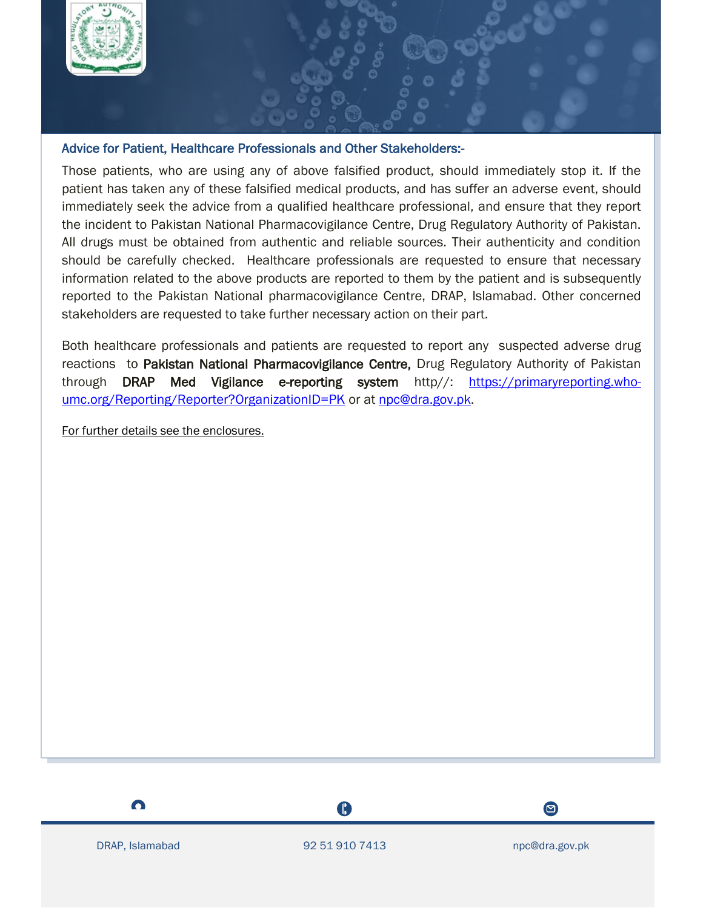

# Advice for Patient, Healthcare Professionals and Other Stakeholders:-

Those patients, who are using any of above falsified product, should immediately stop it. If the patient has taken any of these falsified medical products, and has suffer an adverse event, should immediately seek the advice from a qualified healthcare professional, and ensure that they report the incident to Pakistan National Pharmacovigilance Centre, Drug Regulatory Authority of Pakistan. All drugs must be obtained from authentic and reliable sources. Their authenticity and condition should be carefully checked. Healthcare professionals are requested to ensure that necessary information related to the above products are reported to them by the patient and is subsequently reported to the Pakistan National pharmacovigilance Centre, DRAP, Islamabad. Other concerned stakeholders are requested to take further necessary action on their part.

Both healthcare professionals and patients are requested to report any suspected adverse drug reactions to Pakistan National Pharmacovigilance Centre, Drug Regulatory Authority of Pakistan through DRAP Med Vigilance e-reporting system http//: [https://primaryreporting.who](https://primaryreporting.who-umc.org/Reporting/Reporter?OrganizationID=PK)[umc.org/Reporting/Reporter?OrganizationID=PK](https://primaryreporting.who-umc.org/Reporting/Reporter?OrganizationID=PK) or at [npc@dra.gov.pk.](mailto:npc@dra.gov.pk)

For further details see the enclosures.



A

 $\boldsymbol{\Xi}$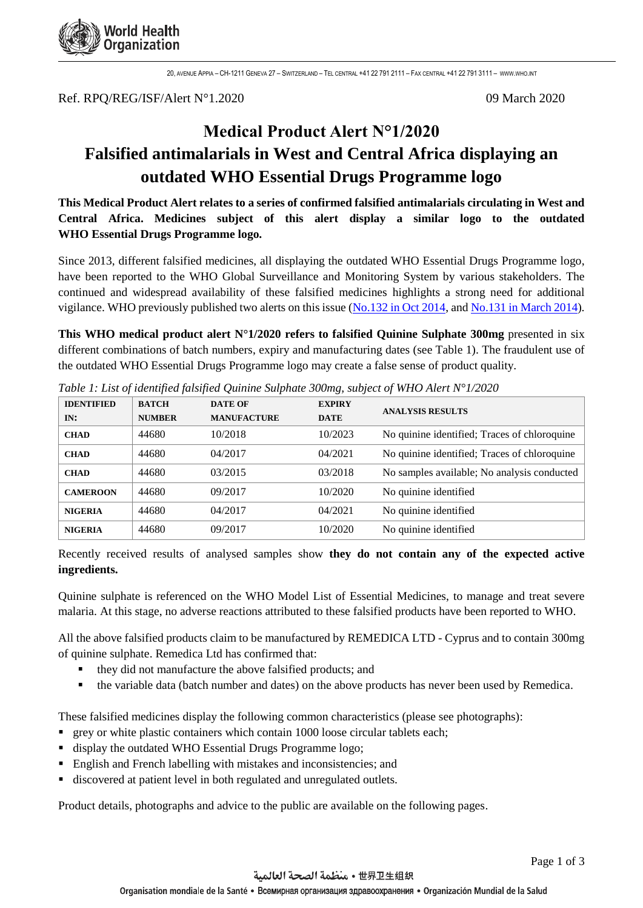

20, AVENUE APPIA – CH-1211 GENEVA 27 – SWITZERLAND – TEL CENTRAL +41 22 791 2111 – FAX CENTRAL +41 22 791 3111 – [WWW](http://www.who.int/).WHO.INT

Ref. RPQ/REG/ISF/Alert N°1.2020 09 March 2020

# **Medical Product Alert N°1/2020 Falsified antimalarials in West and Central Africa displaying an outdated WHO Essential Drugs Programme logo**

**This Medical Product Alert relates to a series of confirmed falsified antimalarials circulating in West and Central Africa. Medicines subject of this alert display a similar logo to the outdated WHO Essential Drugs Programme logo.**

Since 2013, different falsified medicines, all displaying the outdated WHO Essential Drugs Programme logo, have been reported to the WHO Global Surveillance and Monitoring System by various stakeholders. The continued and widespread availability of these falsified medicines highlights a strong need for additional vigilance. WHO previously published two alerts on this issue [\(No.132 in Oct 2014,](https://www.who.int/medicines/publications/drugalerts/Alert_132_FalsifiedMedicinesWestandCentralAfrica.pdf?ua=1) and [No.131 in March 2014\)](https://www.who.int/medicines/publications/drugalerts/Alert_131_antimalarials_essential_drugs_programme_pre_final.pdf?ua=1).

**This WHO medical product alert N°1/2020 refers to falsified Quinine Sulphate 300mg** presented in six different combinations of batch numbers, expiry and manufacturing dates (see Table 1). The fraudulent use of the outdated WHO Essential Drugs Programme logo may create a false sense of product quality.

| <b>IDENTIFIED</b> | <b>BATCH</b>  | <b>DATE OF</b>     | <b>EXPIRY</b> | <b>ANALYSIS RESULTS</b>                      |
|-------------------|---------------|--------------------|---------------|----------------------------------------------|
| IN:               | <b>NUMBER</b> | <b>MANUFACTURE</b> | <b>DATE</b>   |                                              |
| <b>CHAD</b>       | 44680         | 10/2018            | 10/2023       | No quinine identified; Traces of chloroquine |
| <b>CHAD</b>       | 44680         | 04/2017            | 04/2021       | No quinine identified; Traces of chloroquine |
| <b>CHAD</b>       | 44680         | 03/2015            | 03/2018       | No samples available; No analysis conducted  |
| <b>CAMEROON</b>   | 44680         | 09/2017            | 10/2020       | No quinine identified                        |
| <b>NIGERIA</b>    | 44680         | 04/2017            | 04/2021       | No quinine identified                        |
| <b>NIGERIA</b>    | 44680         | 09/2017            | 10/2020       | No quinine identified                        |

*Table 1: List of identified falsified Quinine Sulphate 300mg, subject of WHO Alert N°1/2020*

Recently received results of analysed samples show **they do not contain any of the expected active ingredients.**

Quinine sulphate is referenced on the WHO Model List of Essential Medicines, to manage and treat severe malaria. At this stage, no adverse reactions attributed to these falsified products have been reported to WHO.

All the above falsified products claim to be manufactured by REMEDICA LTD - Cyprus and to contain 300mg of quinine sulphate. Remedica Ltd has confirmed that:

- they did not manufacture the above falsified products; and
- the variable data (batch number and dates) on the above products has never been used by Remedica.

These falsified medicines display the following common characteristics (please see photographs):

- **•** grey or white plastic containers which contain 1000 loose circular tablets each;
- display the outdated WHO Essential Drugs Programme logo;
- English and French labelling with mistakes and inconsistencies; and
- discovered at patient level in both regulated and unregulated outlets.

Product details, photographs and advice to the public are available on the following pages.

世界卫生组织 • منظمة الصحة العالمية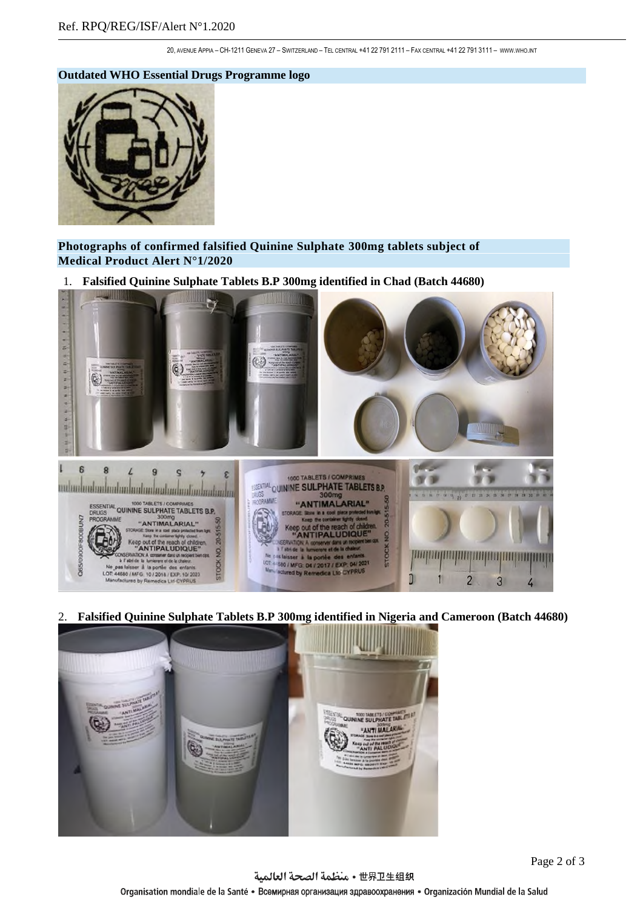20, AVENUE APPIA – CH-1211 GENEVA 27 – SWITZERLAND – TEL CENTRAL +41 22 791 2111 – FAX CENTRAL +41 22 791 3111 – [WWW](http://www.who.int/).WHO.INT

#### **Outdated WHO Essential Drugs Programme logo**



**Photographs of confirmed falsified Quinine Sulphate 300mg tablets subject of Medical Product Alert N°1/2020**

1. **Falsified Quinine Sulphate Tablets B.P 300mg identified in Chad (Batch 44680)**



2. **Falsified Quinine Sulphate Tablets B.P 300mg identified in Nigeria and Cameroon (Batch 44680)**